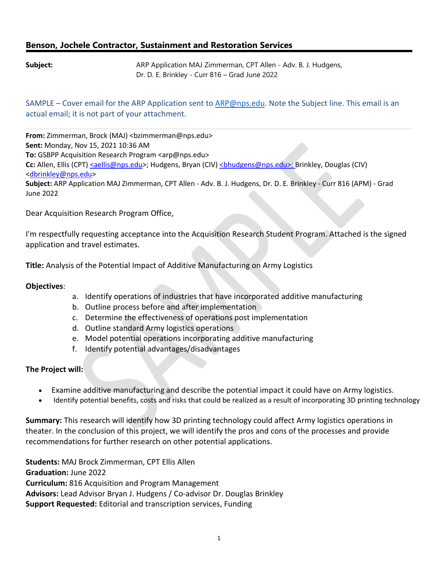## **Benson, Jochele Contractor, Sustainment and Restoration Services**

**Subject:** ARP Application MAJ Zimmerman, CPT Allen - Adv. B. J. Hudgens, Dr. D. E. Brinkley - Curr 816 – Grad June 2022

SAMPLE – Cover email for the ARP Application sent to [ARP@nps.edu. N](mailto:ARP@nps.edu)ote the Subject line. This email is an actual email; it is not part of your attachment.

**From:** Zimmerman, Brock (MAJ) <br/>bzimmerma[n@nps.edu>](mailto:jjeom@nps.edu) **Sent:** Monday, Nov 15, 2021 10:36 AM **To: GSBPP Acquisition Research Program [<arp@nps.edu>](mailto:arp@nps.edu) Cc:** Allen, Ellis (CPT[\) <aellis@nps.edu>](mailto:%3caellis@nps.edu); Hudgens, Bryan (CIV) [<bhudgens@nps.edu>; B](mailto:%3cbhudgens@nps.edu%3e;)rinkley, Douglas (CIV) [<dbrinkley@nps.edu>](mailto:dbrinkley@nps.edu) **Subject:** ARP Application MAJ Zimmerman, CPT Allen - Adv. B. J. Hudgens, Dr. D. E. Brinkley - Curr 816 (APM) - Grad June 2022

Dear Acquisition Research Program Office,

I'm respectfully requesting acceptance into the Acquisition Research Student Program. Attached is the signed application and travel estimates.

**Title:** Analysis of the Potential Impact of Additive Manufacturing on Army Logistics

## **Objectives**:

- a. Identify operations of industries that have incorporated additive manufacturing
- b. Outline process before and after implementation
- c. Determine the effectiveness of operations post implementation
- d. Outline standard Army logistics operations
- e. Model potential operations incorporating additive manufacturing
- f. Identify potential advantages/disadvantages

## **The Project will:**

- Examine additive manufacturing and describe the potential impact it could have on Army logistics.
- Identify potential benefits, costs and risks that could be realized as a result of incorporating 3D printing technology

**Summary:** This research will identify how 3D printing technology could affect Army logistics operations in theater. In the conclusion of this project, we will identify the pros and cons of the processes and provide recommendations for further research on other potential applications.

**Students:** MAJ Brock Zimmerman, CPT Ellis Allen **Graduation:** June 2022 **Curriculum:** 816 Acquisition and Program Management **Advisors:** Lead Advisor Bryan J. Hudgens / Co-advisor Dr. Douglas Brinkley **Support Requested:** Editorial and transcription services, Funding